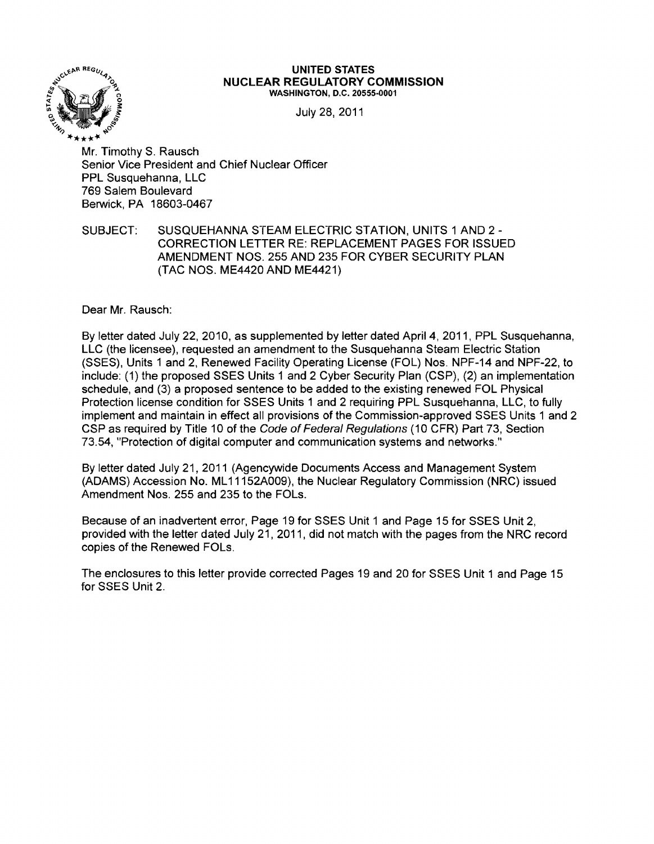

## UNITED STATES<br>
<sup>NUCL FAR RFGIII</sup> ATORY O <sup>~</sup>0'1' **NUCLEAR REGULATORY COMMISSION**  WASHINGTON, D.C. 20555-0001

July 28, 2011

"'" ~O \*\*\*"". Mr. Timothy S. Rausch Senior Vice President and Chief Nuclear Officer PPL Susquehanna, LLC 769 Salem Boulevard Berwick, PA 18603-0467

SUBJECT: SUSQUEHANNA STEAM ELECTRIC STATION, UNITS 1 AND 2 -CORRECTION LETTER RE: REPLACEMENT PAGES FOR ISSUED AMENDMENT NOS. 255 AND 235 FOR CYBER SECURITY PLAN (TAC NOS. ME4420 AND ME4421)

Dear Mr. Rausch:

By letter dated July 22,2010, as supplemented by letter dated April 4, 2011, PPL Susquehanna, LLC (the licensee), requested an amendment to the Susquehanna Steam Electric Station (SSES), Units 1 and 2, Renewed Facility Operating License (FOL) Nos. NPF-14 and NPF-22, to include: (1) the proposed SSES Units 1 and 2 Cyber Security Plan (CSP), (2) an implementation schedule, and (3) a proposed sentence to be added to the existing renewed FOL Physical Protection license condition for SSES Units 1 and 2 requiring PPL Susquehanna, LLC, to fully implement and maintain in effect all provisions of the Commission-approved SSES Units 1 and 2 CSP as required by Title 10 of the Code of Federal Regulations (10 CFR) Part 73, Section 73.54, "Protection of digital computer and communication systems and networks."

By letter dated July 21,2011 (Agencywide Documents Access and Management System (ADAMS) Accession No. ML 11152A009), the Nuclear Regulatory Commission (NRC) issued Amendment Nos. 255 and 235 to the FOLs.

Because of an inadvertent error, Page 19 for SSES Unit 1 and Page 15 for SSES Unit 2, provided with the letter dated July 21,2011, did not match with the pages from the NRC record copies of the Renewed FOLs.

The enclosures to this letter provide corrected Pages 19 and 20 for SSES Unit 1 and Page 15 for SSES Unit 2.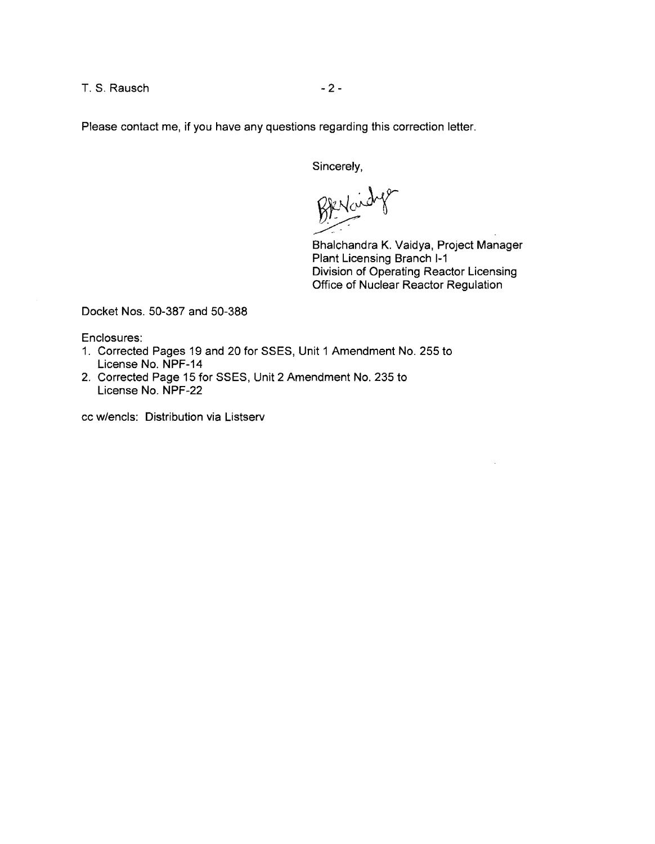T. S. Rausch - 2

Please contact me, if you have any questions regarding this correction letter.

Sincerely,

Benkindys

Bhalchandra K. Vaidya, Project Manager Plant Licensing Branch 1-1 Division of Operating Reactor Licensing Office of Nuclear Reactor Regulation

Docket Nos. 50-387 and 50-388

Enclosures:

- 1. Corrected Pages 19 and 20 for SSES, Unit 1 Amendment No. 255 to License No. NPF-14
- 2. Corrected Page 15 for SSES, Unit 2 Amendment No. 235 to License No. NPF-22

cc w/encls: Distribution via Listserv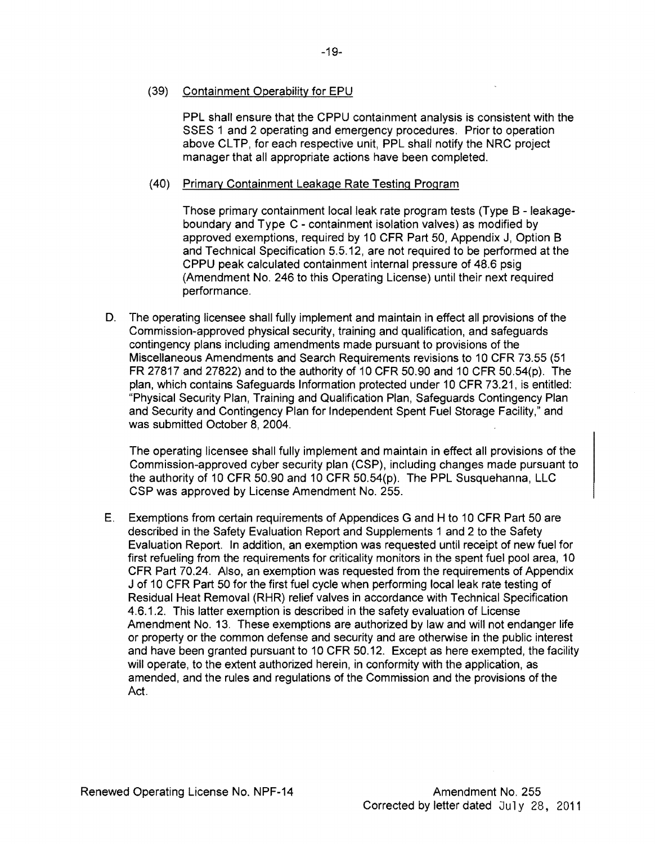## (39) Containment Operability for EPU

PPL shall ensure that the CPPU containment analysis is consistent with the SSES 1 and 2 operating and emergency procedures. Prior to operation above CLTP, for each respective unit, PPL shall notify the NRC project manager that all appropriate actions have been completed.

## (40) Primary Containment Leakage Rate Testing Program

Those primary containment local leak rate program tests (Type B - leakageboundary and Type C - containment isolation valves) as modified by approved exemptions, required by 10 CFR Part 50, Appendix J, Option B and Technical Specification 5.5.12, are not required to be performed at the CPPU peak calculated containment internal pressure of 48.6 psig (Amendment No. 246 to this Operating License) until their next required performance.

D. The operating licensee shall fully implement and maintain in effect all provisions of the Commission-approved physical security, training and qualification, and safeguards contingency plans including amendments made pursuant to provisions of the Miscellaneous Amendments and Search Requirements revisions to 10 CFR 73.55 (51 FR 27817 and 27822) and to the authority of 10 CFR 50.90 and 10 CFR 50.54(p). The plan, which contains Safeguards Information protected under 10 CFR 73.21, is entitled: "Physical Security Plan, Training and Qualification Plan, Safeguards Contingency Plan and Security and Contingency Plan for Independent Spent Fuel Storage Facility," and was submitted October 8, 2004.

The operating licensee shall fully implement and maintain in effect all provisions of the Commission-approved cyber security plan (CSP), including changes made pursuant to the authority of 10 CFR 50.90 and 10 CFR 50.54(p). The PPL Susquehanna, LLC CSP was approved by License Amendment No. 255.

E. Exemptions from certain requirements of Appendices G and H to 10 CFR Part 50 are described in the Safety Evaluation Report and Supplements 1 and 2 to the Safety Evaluation Report. In addition, an exemption was requested until receipt of new fuel for first refueling from the requirements for criticality monitors in the spent fuel pool area, 10 CFR Part 70.24. Also, an exemption was requested from the requirements of Appendix J of 10 CFR Part 50 for the first fuel cycle when performing local leak rate testing of Residual Heat Removal (RHR) relief valves in accordance with Technical Specification 4.6.1.2. This latter exemption is described in the safety evaluation of license Amendment No. 13. These exemptions are authorized by law and will not endanger life or property or the common defense and security and are otherwise in the public interest and have been granted pursuant to 10 CFR 50.12. Except as here exempted, the facility will operate, to the extent authorized herein, in conformity with the application, as amended, and the rules and regulations of the Commission and the provisions of the Act.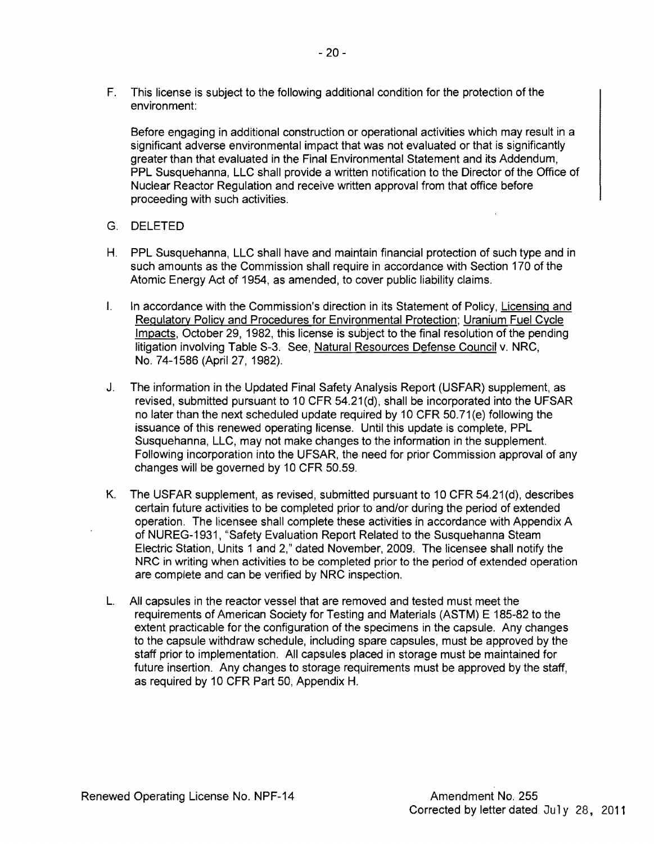F. This license is subject to the following additional condition for the protection of the environment:

Before engaging in additional construction or operational activities which may result in a significant adverse environmental impact that was not evaluated or that is significantly greater than that evaluated in the Final Environmental Statement and its Addendum, PPL Susquehanna, LLC shall provide a written notification to the Director of the Office of Nuclear Reactor Regulation and receive written approval from that office before proceeding with such activities.

- G. DELETED
- H. PPL Susquehanna, LLC shall have and maintain financial protection of such type and in such amounts as the Commission shall require in accordance with Section 170 of the Atomic Energy Act of 1954, as amended, to cover public liability claims.
- I. In accordance with the Commission's direction in its Statement of Policy, Licensing and Regulatory Policy and Procedures for Environmental Protection; Uranium Fuel Cycle Impacts, October 29, 1982, this license is subject to the final resolution of the pending litigation involving Table S-3. See, Natural Resources Defense Council v. NRC, No. 74-1586 (April 27, 1982).
- J. The information in the Updated Final Safety Analysis Report (USFAR) supplement, as revised, submitted pursuant to 10 CFR 54.21 (d), shall be incorporated into the UFSAR no later than the next scheduled update required by 10 CFR 50.71 (e) following the issuance of this renewed operating license. Until this update is complete, PPL Susquehanna, LLC, may not make changes to the information in the supplement. Following incorporation into the UFSAR, the need for prior Commission approval of any changes will be governed by 10 CFR 50.59.
- K. The USFAR supplement, as revised, submitted pursuant to 10 CFR 54.21(d), describes certain future activities to be completed prior to and/or during the period of extended operation. The licensee shall complete these activities in accordance with Appendix A of NUREG-1931, "Safety Evaluation Report Related to the Susquehanna Steam Electric Station, Units 1 and 2," dated November, 2009. The licensee shall notify the NRC in writing when activities to be completed prior to the period of extended operation are complete and can be verified by NRC inspection.
- L. All capsules in the reactor vessel that are removed and tested must meet the requirements of American Society for Testing and Materials (ASTM) E 185-82 to the extent practicable for the configuration of the specimens in the capsule. Any changes to the capsule withdraw schedule, including spare capsules, must be approved by the staff prior to implementation. All capsules placed in storage must be maintained for future insertion. Any changes to storage requirements must be approved by the staff, as required by 10 CFR Part 50, Appendix H.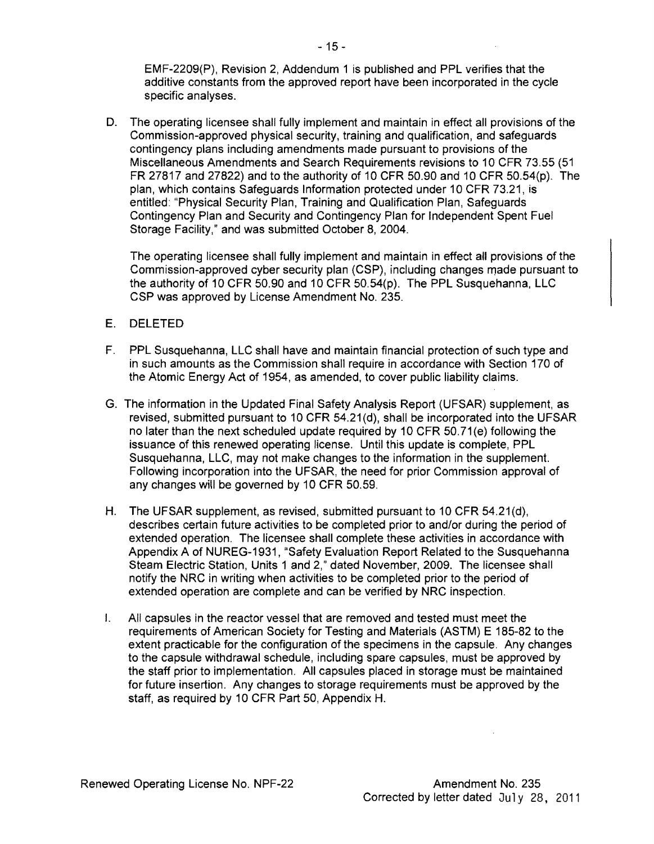EMF-2209{P), Revision 2, Addendum 1 is published and PPL verifies that the additive constants from the approved report have been incorporated in the cycle specific analyses.

D. The operating licensee shall fully implement and maintain in effect all provisions of the Commission-approved physical security, training and qualification, and safeguards contingency plans including amendments made pursuant to provisions of the Miscellaneous Amendments and Search Requirements revisions to 10 CFR 73.55 (51 FR 27817 and 27822) and to the authority of 10 CFR 50.90 and 10 CFR 50.54{p). The plan, which contains Safeguards Information protected under 10 CFR 73.21, is entitled: "Physical Security Plan, Training and Qualification Plan, Safeguards Contingency Plan and Security and Contingency Plan for Independent Spent Fuel Storage Facility," and was submitted October 8,2004.

The operating licensee shall fully implement and maintain in effect all provisions of the Commission-approved cyber security plan (CSP), including changes made pursuant to the authority of 10 CFR 50.90 and 10 CFR 50.54(p). The PPL Susquehanna, LLC CSP was approved by License Amendment No. 235.

- E. DELETED
- F. PPL Susquehanna, LLC shall have and maintain financial protection of such type and in such amounts as the Commission shall require in accordance with Section 170 of the Atomic Energy Act of 1954, as amended, to cover public liability claims.
- G. The information in the Updated Final Safety Analysis Report (UFSAR) supplement, as revised, submitted pursuant to 10 CFR 54.21 (d), shall be incorporated into the UFSAR no later than the next scheduled update required by 10 CFR 50.71 (e) following the issuance of this renewed operating license. Until this update is complete, PPL Susquehanna, LLC, may not make changes to the information in the supplement. Following incorporation into the UFSAR, the need for prior Commission approval of any changes will be governed by 10 CFR 50.59.
- H. The UFSAR supplement, as revised, submitted pursuant to 10 CFR  $54.21(d)$ , describes certain future activities to be completed prior to and/or during the period of extended operation. The licensee shall complete these activities in accordance with Appendix A of NUREG-1931, "Safety Evaluation Report Related to the Susquehanna Steam Electric Station, Units 1 and 2," dated November, 2009. The licensee shall notify the NRC in writing when activities to be completed prior to the period of extended operation are complete and can be verified by NRC inspection.
- I. All capsules in the reactor vessel that are removed and tested must meet the requirements of American Society for Testing and Materials (ASTM) E 185-82 to the extent practicable for the configuration of the specimens in the capsule. Any changes to the capsule withdrawal schedule, including spare capsules, must be approved by the staff prior to implementation. All capsules placed in storage must be maintained for future insertion. Any changes to storage requirements must be approved by the staff, as required by 10 CFR Part 50, Appendix H.